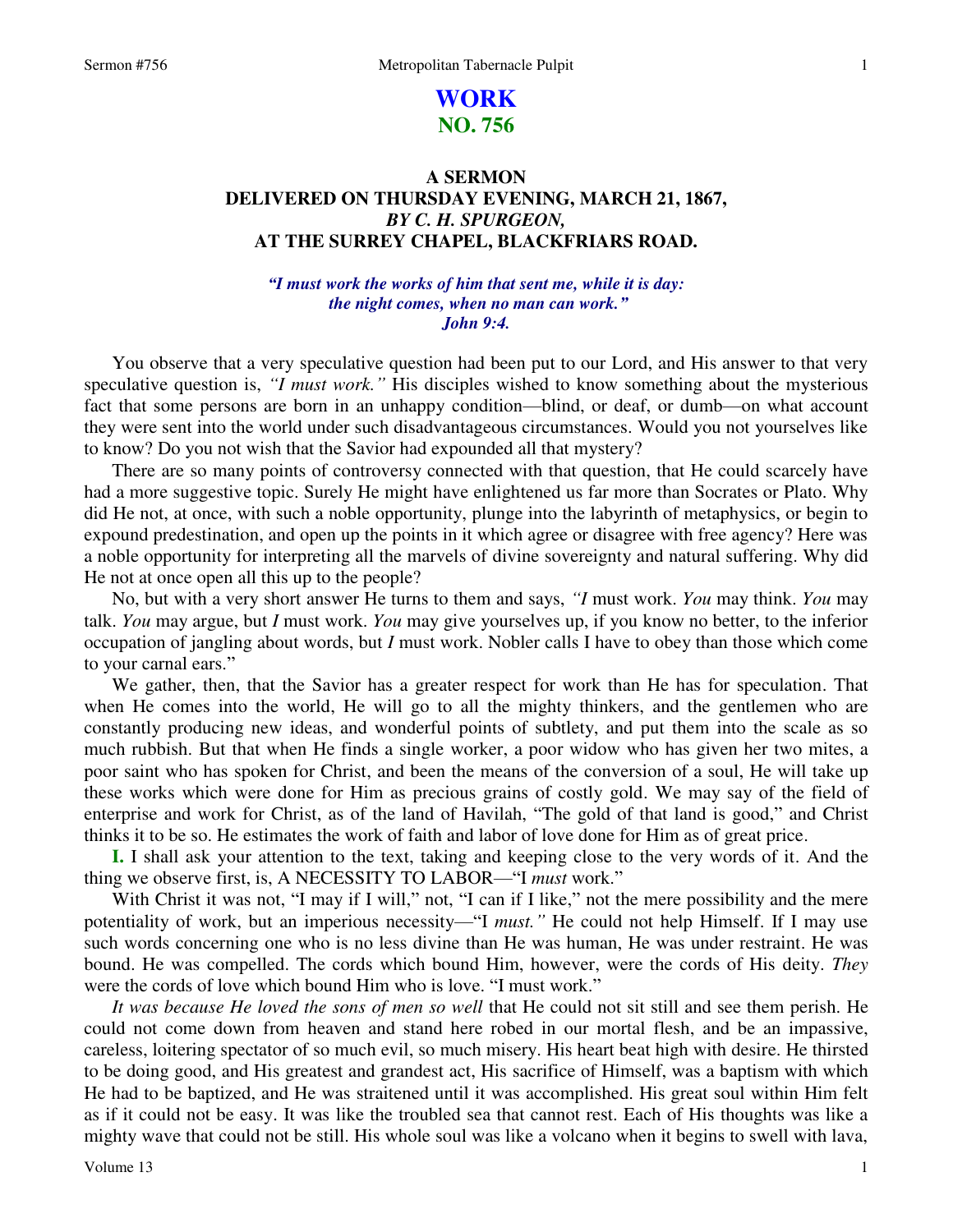# **WORK NO. 756**

# **A SERMON DELIVERED ON THURSDAY EVENING, MARCH 21, 1867,**  *BY C. H. SPURGEON,*  **AT THE SURREY CHAPEL, BLACKFRIARS ROAD.**

## *"I must work the works of him that sent me, while it is day: the night comes, when no man can work." John 9:4.*

 You observe that a very speculative question had been put to our Lord, and His answer to that very speculative question is, *"I must work."* His disciples wished to know something about the mysterious fact that some persons are born in an unhappy condition—blind, or deaf, or dumb—on what account they were sent into the world under such disadvantageous circumstances. Would you not yourselves like to know? Do you not wish that the Savior had expounded all that mystery?

 There are so many points of controversy connected with that question, that He could scarcely have had a more suggestive topic. Surely He might have enlightened us far more than Socrates or Plato. Why did He not, at once, with such a noble opportunity, plunge into the labyrinth of metaphysics, or begin to expound predestination, and open up the points in it which agree or disagree with free agency? Here was a noble opportunity for interpreting all the marvels of divine sovereignty and natural suffering. Why did He not at once open all this up to the people?

 No, but with a very short answer He turns to them and says, *"I* must work. *You* may think. *You* may talk. *You* may argue, but *I* must work. *You* may give yourselves up, if you know no better, to the inferior occupation of jangling about words, but *I* must work. Nobler calls I have to obey than those which come to your carnal ears."

 We gather, then, that the Savior has a greater respect for work than He has for speculation. That when He comes into the world, He will go to all the mighty thinkers, and the gentlemen who are constantly producing new ideas, and wonderful points of subtlety, and put them into the scale as so much rubbish. But that when He finds a single worker, a poor widow who has given her two mites, a poor saint who has spoken for Christ, and been the means of the conversion of a soul, He will take up these works which were done for Him as precious grains of costly gold. We may say of the field of enterprise and work for Christ, as of the land of Havilah, "The gold of that land is good," and Christ thinks it to be so. He estimates the work of faith and labor of love done for Him as of great price.

**I.** I shall ask your attention to the text, taking and keeping close to the very words of it. And the thing we observe first, is, A NECESSITY TO LABOR—"I *must* work."

With Christ it was not, "I may if I will," not, "I can if I like," not the mere possibility and the mere potentiality of work, but an imperious necessity—"I *must."* He could not help Himself. If I may use such words concerning one who is no less divine than He was human, He was under restraint. He was bound. He was compelled. The cords which bound Him, however, were the cords of His deity. *They* were the cords of love which bound Him who is love. "I must work."

 *It was because He loved the sons of men so well* that He could not sit still and see them perish. He could not come down from heaven and stand here robed in our mortal flesh, and be an impassive, careless, loitering spectator of so much evil, so much misery. His heart beat high with desire. He thirsted to be doing good, and His greatest and grandest act, His sacrifice of Himself, was a baptism with which He had to be baptized, and He was straitened until it was accomplished. His great soul within Him felt as if it could not be easy. It was like the troubled sea that cannot rest. Each of His thoughts was like a mighty wave that could not be still. His whole soul was like a volcano when it begins to swell with lava,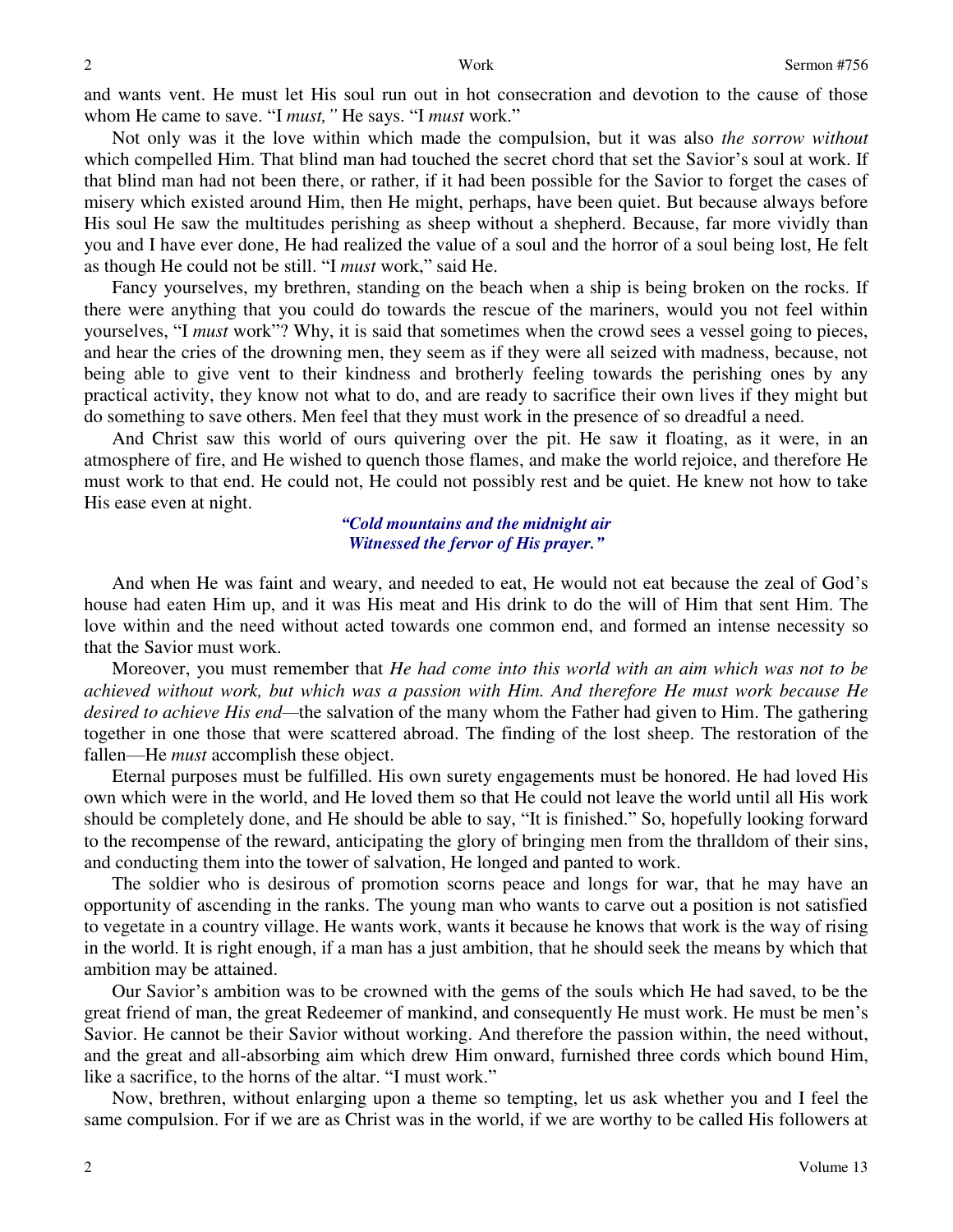and wants vent. He must let His soul run out in hot consecration and devotion to the cause of those whom He came to save. "I *must,"* He says. "I *must* work."

 Not only was it the love within which made the compulsion, but it was also *the sorrow without* which compelled Him. That blind man had touched the secret chord that set the Savior's soul at work. If that blind man had not been there, or rather, if it had been possible for the Savior to forget the cases of misery which existed around Him, then He might, perhaps, have been quiet. But because always before His soul He saw the multitudes perishing as sheep without a shepherd. Because, far more vividly than you and I have ever done, He had realized the value of a soul and the horror of a soul being lost, He felt as though He could not be still. "I *must* work," said He.

 Fancy yourselves, my brethren, standing on the beach when a ship is being broken on the rocks. If there were anything that you could do towards the rescue of the mariners, would you not feel within yourselves, "I *must* work"? Why, it is said that sometimes when the crowd sees a vessel going to pieces, and hear the cries of the drowning men, they seem as if they were all seized with madness, because, not being able to give vent to their kindness and brotherly feeling towards the perishing ones by any practical activity, they know not what to do, and are ready to sacrifice their own lives if they might but do something to save others. Men feel that they must work in the presence of so dreadful a need.

 And Christ saw this world of ours quivering over the pit. He saw it floating, as it were, in an atmosphere of fire, and He wished to quench those flames, and make the world rejoice, and therefore He must work to that end. He could not, He could not possibly rest and be quiet. He knew not how to take His ease even at night.

> *"Cold mountains and the midnight air Witnessed the fervor of His prayer."*

 And when He was faint and weary, and needed to eat, He would not eat because the zeal of God's house had eaten Him up, and it was His meat and His drink to do the will of Him that sent Him. The love within and the need without acted towards one common end, and formed an intense necessity so that the Savior must work.

 Moreover, you must remember that *He had come into this world with an aim which was not to be achieved without work, but which was a passion with Him. And therefore He must work because He desired to achieve His end—*the salvation of the many whom the Father had given to Him. The gathering together in one those that were scattered abroad. The finding of the lost sheep. The restoration of the fallen—He *must* accomplish these object.

 Eternal purposes must be fulfilled. His own surety engagements must be honored. He had loved His own which were in the world, and He loved them so that He could not leave the world until all His work should be completely done, and He should be able to say, "It is finished." So, hopefully looking forward to the recompense of the reward, anticipating the glory of bringing men from the thralldom of their sins, and conducting them into the tower of salvation, He longed and panted to work.

 The soldier who is desirous of promotion scorns peace and longs for war, that he may have an opportunity of ascending in the ranks. The young man who wants to carve out a position is not satisfied to vegetate in a country village. He wants work, wants it because he knows that work is the way of rising in the world. It is right enough, if a man has a just ambition, that he should seek the means by which that ambition may be attained.

 Our Savior's ambition was to be crowned with the gems of the souls which He had saved, to be the great friend of man, the great Redeemer of mankind, and consequently He must work. He must be men's Savior. He cannot be their Savior without working. And therefore the passion within, the need without, and the great and all-absorbing aim which drew Him onward, furnished three cords which bound Him, like a sacrifice, to the horns of the altar. "I must work."

 Now, brethren, without enlarging upon a theme so tempting, let us ask whether you and I feel the same compulsion. For if we are as Christ was in the world, if we are worthy to be called His followers at

2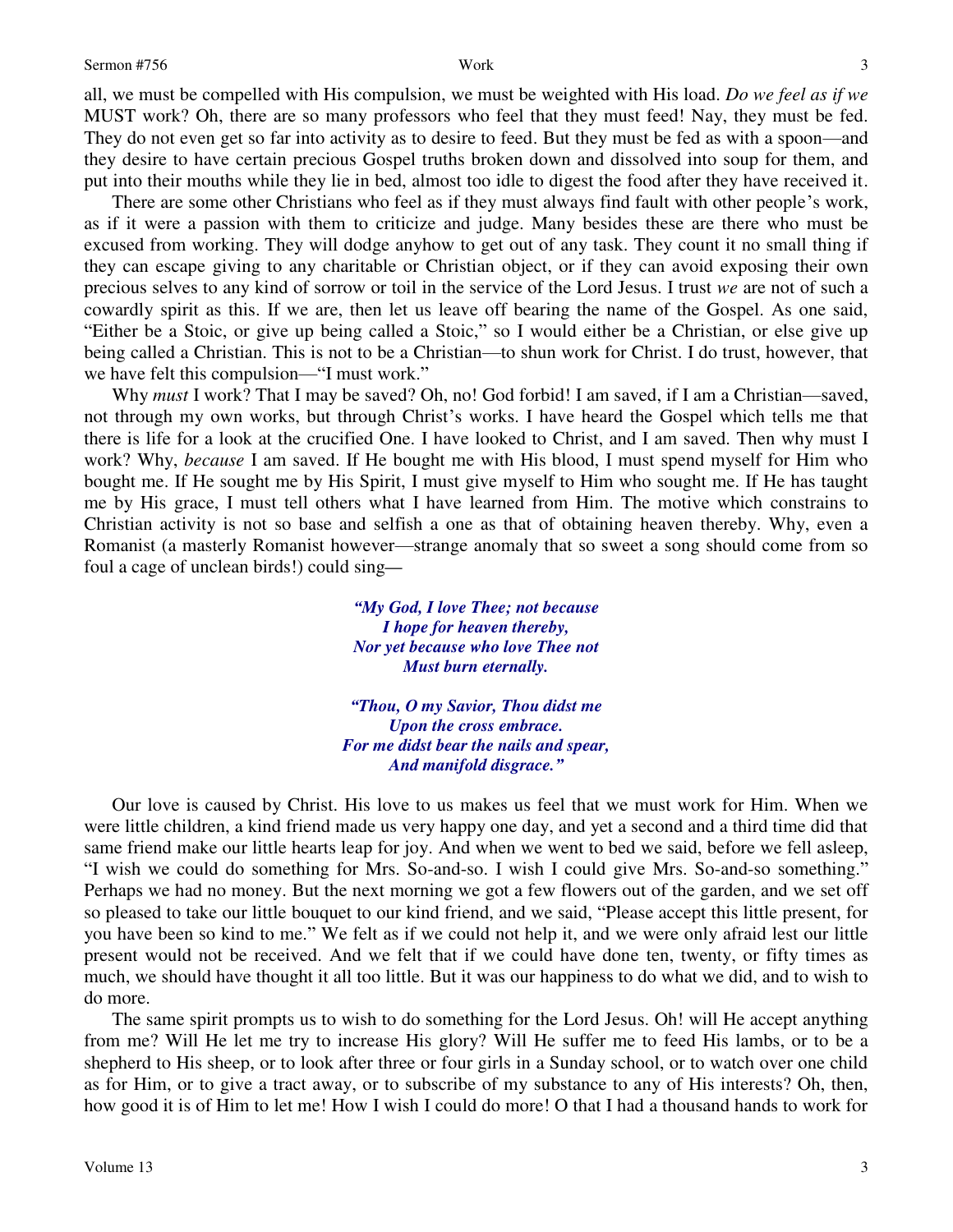all, we must be compelled with His compulsion, we must be weighted with His load. *Do we feel as if we* MUST work? Oh, there are so many professors who feel that they must feed! Nay, they must be fed. They do not even get so far into activity as to desire to feed. But they must be fed as with a spoon—and they desire to have certain precious Gospel truths broken down and dissolved into soup for them, and put into their mouths while they lie in bed, almost too idle to digest the food after they have received it.

 There are some other Christians who feel as if they must always find fault with other people's work, as if it were a passion with them to criticize and judge. Many besides these are there who must be excused from working. They will dodge anyhow to get out of any task. They count it no small thing if they can escape giving to any charitable or Christian object, or if they can avoid exposing their own precious selves to any kind of sorrow or toil in the service of the Lord Jesus. I trust *we* are not of such a cowardly spirit as this. If we are, then let us leave off bearing the name of the Gospel. As one said, "Either be a Stoic, or give up being called a Stoic," so I would either be a Christian, or else give up being called a Christian. This is not to be a Christian—to shun work for Christ. I do trust, however, that we have felt this compulsion—"I must work."

Why *must* I work? That I may be saved? Oh, no! God forbid! I am saved, if I am a Christian—saved, not through my own works, but through Christ's works. I have heard the Gospel which tells me that there is life for a look at the crucified One. I have looked to Christ, and I am saved. Then why must I work? Why, *because* I am saved. If He bought me with His blood, I must spend myself for Him who bought me. If He sought me by His Spirit, I must give myself to Him who sought me. If He has taught me by His grace, I must tell others what I have learned from Him. The motive which constrains to Christian activity is not so base and selfish a one as that of obtaining heaven thereby. Why, even a Romanist (a masterly Romanist however—strange anomaly that so sweet a song should come from so foul a cage of unclean birds!) could sing*—*

> *"My God, I love Thee; not because I hope for heaven thereby, Nor yet because who love Thee not Must burn eternally.*

*"Thou, O my Savior, Thou didst me Upon the cross embrace. For me didst bear the nails and spear, And manifold disgrace."*

 Our love is caused by Christ. His love to us makes us feel that we must work for Him. When we were little children, a kind friend made us very happy one day, and yet a second and a third time did that same friend make our little hearts leap for joy. And when we went to bed we said, before we fell asleep, "I wish we could do something for Mrs. So-and-so. I wish I could give Mrs. So-and-so something." Perhaps we had no money. But the next morning we got a few flowers out of the garden, and we set off so pleased to take our little bouquet to our kind friend, and we said, "Please accept this little present, for you have been so kind to me." We felt as if we could not help it, and we were only afraid lest our little present would not be received. And we felt that if we could have done ten, twenty, or fifty times as much, we should have thought it all too little. But it was our happiness to do what we did, and to wish to do more.

 The same spirit prompts us to wish to do something for the Lord Jesus. Oh! will He accept anything from me? Will He let me try to increase His glory? Will He suffer me to feed His lambs, or to be a shepherd to His sheep, or to look after three or four girls in a Sunday school, or to watch over one child as for Him, or to give a tract away, or to subscribe of my substance to any of His interests? Oh, then, how good it is of Him to let me! How I wish I could do more! O that I had a thousand hands to work for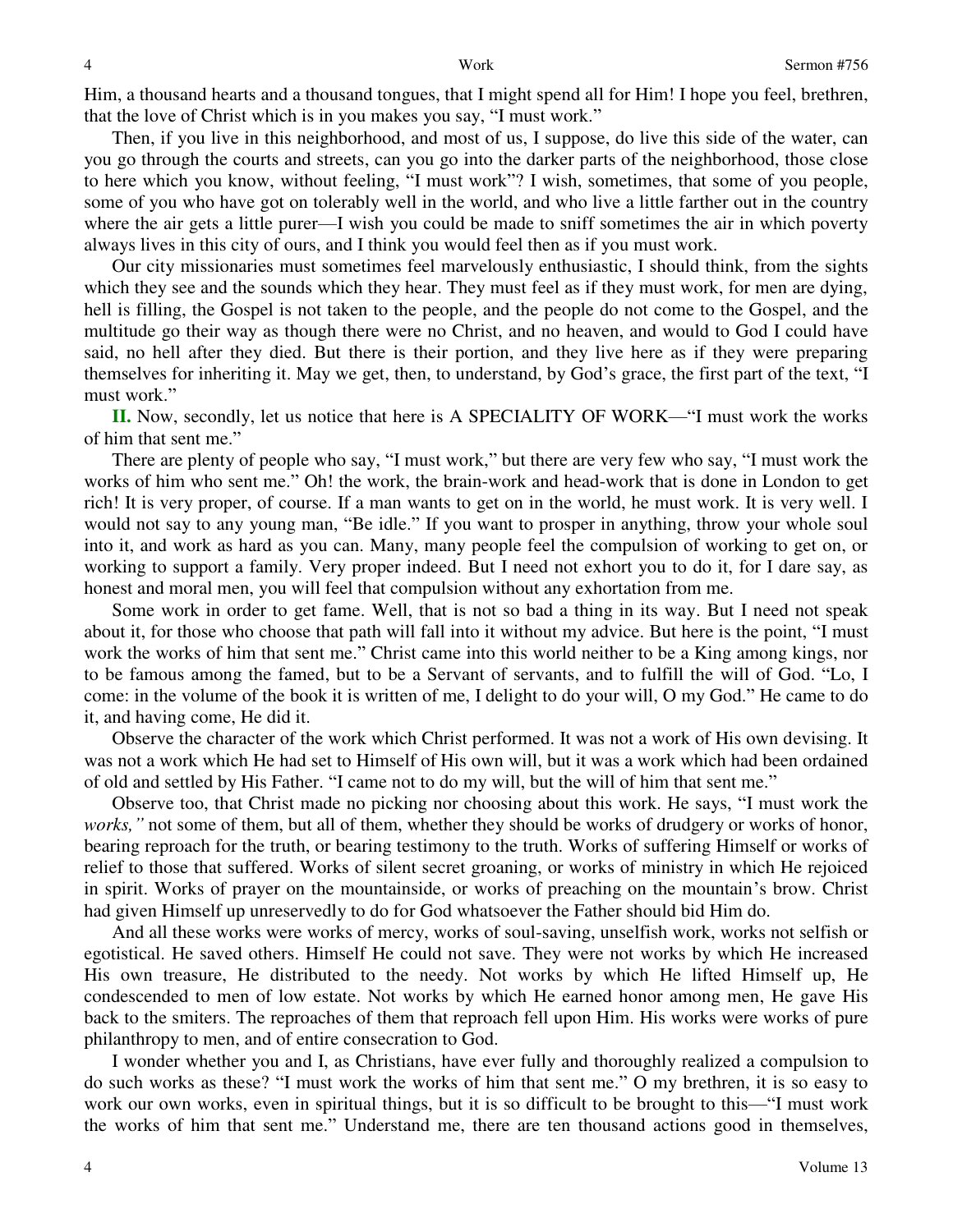Him, a thousand hearts and a thousand tongues, that I might spend all for Him! I hope you feel, brethren, that the love of Christ which is in you makes you say, "I must work."

 Then, if you live in this neighborhood, and most of us, I suppose, do live this side of the water, can you go through the courts and streets, can you go into the darker parts of the neighborhood, those close to here which you know, without feeling, "I must work"? I wish, sometimes, that some of you people, some of you who have got on tolerably well in the world, and who live a little farther out in the country where the air gets a little purer—I wish you could be made to sniff sometimes the air in which poverty always lives in this city of ours, and I think you would feel then as if you must work.

 Our city missionaries must sometimes feel marvelously enthusiastic, I should think, from the sights which they see and the sounds which they hear. They must feel as if they must work, for men are dying, hell is filling, the Gospel is not taken to the people, and the people do not come to the Gospel, and the multitude go their way as though there were no Christ, and no heaven, and would to God I could have said, no hell after they died. But there is their portion, and they live here as if they were preparing themselves for inheriting it. May we get, then, to understand, by God's grace, the first part of the text, "I must work."

**II.** Now, secondly, let us notice that here is A SPECIALITY OF WORK—"I must work the works of him that sent me."

 There are plenty of people who say, "I must work," but there are very few who say, "I must work the works of him who sent me." Oh! the work, the brain-work and head-work that is done in London to get rich! It is very proper, of course. If a man wants to get on in the world, he must work. It is very well. I would not say to any young man, "Be idle." If you want to prosper in anything, throw your whole soul into it, and work as hard as you can. Many, many people feel the compulsion of working to get on, or working to support a family. Very proper indeed. But I need not exhort you to do it, for I dare say, as honest and moral men, you will feel that compulsion without any exhortation from me.

 Some work in order to get fame. Well, that is not so bad a thing in its way. But I need not speak about it, for those who choose that path will fall into it without my advice. But here is the point, "I must work the works of him that sent me." Christ came into this world neither to be a King among kings, nor to be famous among the famed, but to be a Servant of servants, and to fulfill the will of God. "Lo, I come: in the volume of the book it is written of me, I delight to do your will, O my God." He came to do it, and having come, He did it.

 Observe the character of the work which Christ performed. It was not a work of His own devising. It was not a work which He had set to Himself of His own will, but it was a work which had been ordained of old and settled by His Father. "I came not to do my will, but the will of him that sent me."

 Observe too, that Christ made no picking nor choosing about this work. He says, "I must work the *works*, " not some of them, but all of them, whether they should be works of drudgery or works of honor, bearing reproach for the truth, or bearing testimony to the truth. Works of suffering Himself or works of relief to those that suffered. Works of silent secret groaning, or works of ministry in which He rejoiced in spirit. Works of prayer on the mountainside, or works of preaching on the mountain's brow. Christ had given Himself up unreservedly to do for God whatsoever the Father should bid Him do.

 And all these works were works of mercy, works of soul-saving, unselfish work, works not selfish or egotistical. He saved others. Himself He could not save. They were not works by which He increased His own treasure, He distributed to the needy. Not works by which He lifted Himself up, He condescended to men of low estate. Not works by which He earned honor among men, He gave His back to the smiters. The reproaches of them that reproach fell upon Him. His works were works of pure philanthropy to men, and of entire consecration to God.

 I wonder whether you and I, as Christians, have ever fully and thoroughly realized a compulsion to do such works as these? "I must work the works of him that sent me." O my brethren, it is so easy to work our own works, even in spiritual things, but it is so difficult to be brought to this—"I must work the works of him that sent me." Understand me, there are ten thousand actions good in themselves,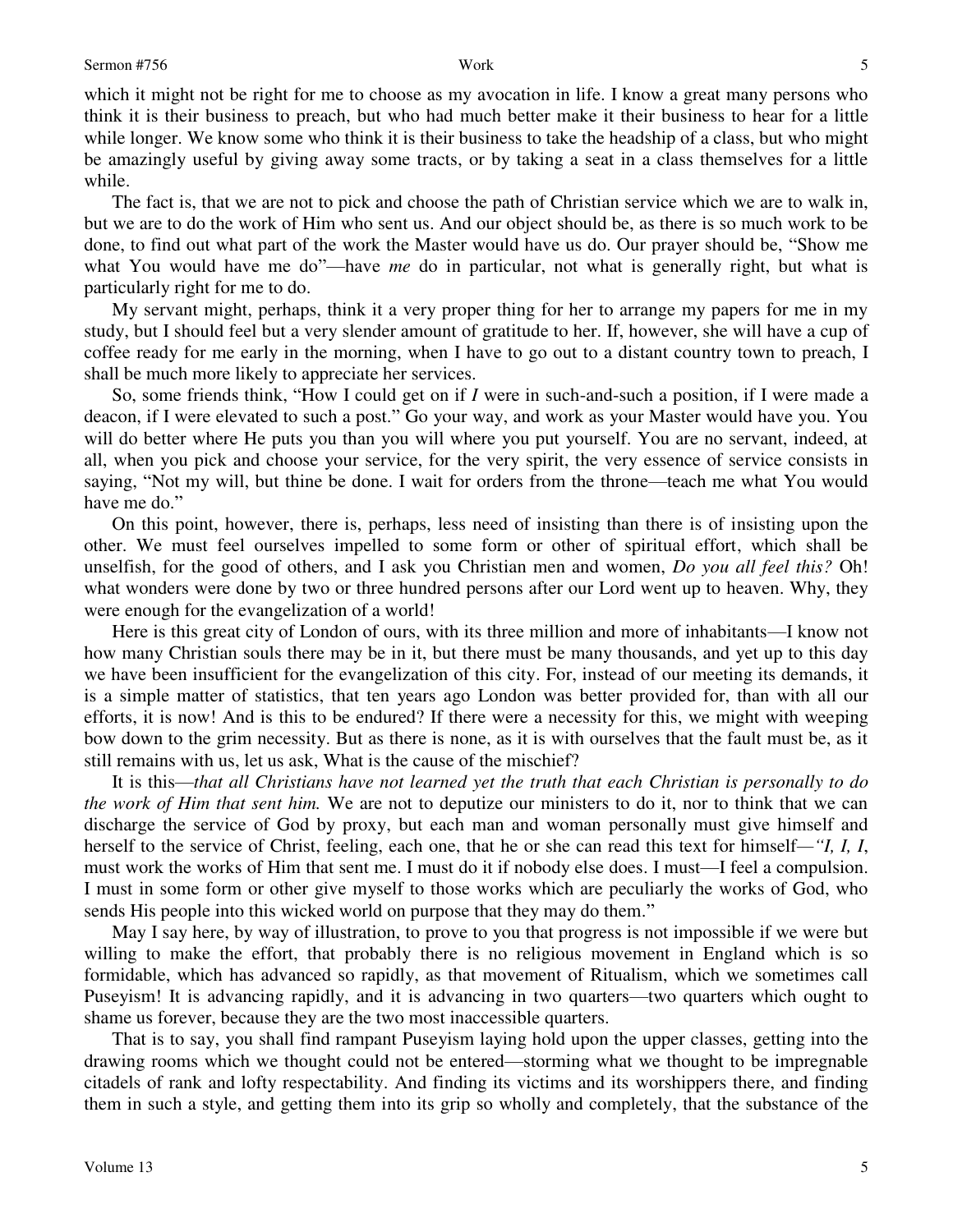which it might not be right for me to choose as my avocation in life. I know a great many persons who think it is their business to preach, but who had much better make it their business to hear for a little while longer. We know some who think it is their business to take the headship of a class, but who might be amazingly useful by giving away some tracts, or by taking a seat in a class themselves for a little while.

 The fact is, that we are not to pick and choose the path of Christian service which we are to walk in, but we are to do the work of Him who sent us. And our object should be, as there is so much work to be done, to find out what part of the work the Master would have us do. Our prayer should be, "Show me what You would have me do"—have *me* do in particular, not what is generally right, but what is particularly right for me to do.

 My servant might, perhaps, think it a very proper thing for her to arrange my papers for me in my study, but I should feel but a very slender amount of gratitude to her. If, however, she will have a cup of coffee ready for me early in the morning, when I have to go out to a distant country town to preach, I shall be much more likely to appreciate her services.

 So, some friends think, "How I could get on if *I* were in such-and-such a position, if I were made a deacon, if I were elevated to such a post." Go your way, and work as your Master would have you. You will do better where He puts you than you will where you put yourself. You are no servant, indeed, at all, when you pick and choose your service, for the very spirit, the very essence of service consists in saying, "Not my will, but thine be done. I wait for orders from the throne—teach me what You would have me do."

 On this point, however, there is, perhaps, less need of insisting than there is of insisting upon the other. We must feel ourselves impelled to some form or other of spiritual effort, which shall be unselfish, for the good of others, and I ask you Christian men and women, *Do you all feel this?* Oh! what wonders were done by two or three hundred persons after our Lord went up to heaven. Why, they were enough for the evangelization of a world!

 Here is this great city of London of ours, with its three million and more of inhabitants—I know not how many Christian souls there may be in it, but there must be many thousands, and yet up to this day we have been insufficient for the evangelization of this city. For, instead of our meeting its demands, it is a simple matter of statistics, that ten years ago London was better provided for, than with all our efforts, it is now! And is this to be endured? If there were a necessity for this, we might with weeping bow down to the grim necessity. But as there is none, as it is with ourselves that the fault must be, as it still remains with us, let us ask, What is the cause of the mischief?

 It is this—*that all Christians have not learned yet the truth that each Christian is personally to do the work of Him that sent him.* We are not to deputize our ministers to do it, nor to think that we can discharge the service of God by proxy, but each man and woman personally must give himself and herself to the service of Christ, feeling, each one, that he or she can read this text for himself*—"I, I, I*, must work the works of Him that sent me. I must do it if nobody else does. I must—I feel a compulsion. I must in some form or other give myself to those works which are peculiarly the works of God, who sends His people into this wicked world on purpose that they may do them."

 May I say here, by way of illustration, to prove to you that progress is not impossible if we were but willing to make the effort, that probably there is no religious movement in England which is so formidable, which has advanced so rapidly, as that movement of Ritualism, which we sometimes call Puseyism! It is advancing rapidly, and it is advancing in two quarters—two quarters which ought to shame us forever, because they are the two most inaccessible quarters.

 That is to say, you shall find rampant Puseyism laying hold upon the upper classes, getting into the drawing rooms which we thought could not be entered—storming what we thought to be impregnable citadels of rank and lofty respectability. And finding its victims and its worshippers there, and finding them in such a style, and getting them into its grip so wholly and completely, that the substance of the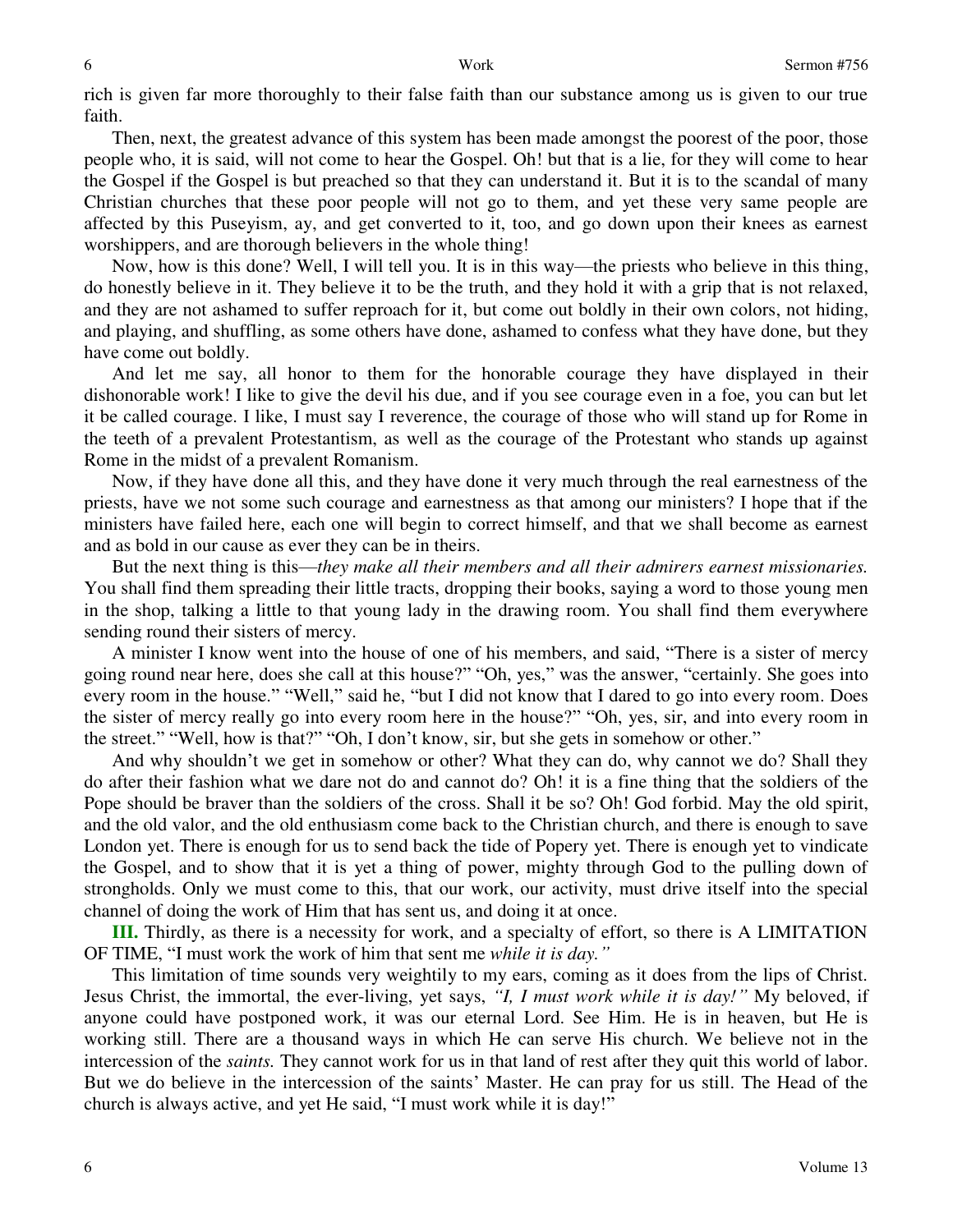rich is given far more thoroughly to their false faith than our substance among us is given to our true faith.

 Then, next, the greatest advance of this system has been made amongst the poorest of the poor, those people who, it is said, will not come to hear the Gospel. Oh! but that is a lie, for they will come to hear the Gospel if the Gospel is but preached so that they can understand it. But it is to the scandal of many Christian churches that these poor people will not go to them, and yet these very same people are affected by this Puseyism, ay, and get converted to it, too, and go down upon their knees as earnest worshippers, and are thorough believers in the whole thing!

 Now, how is this done? Well, I will tell you. It is in this way—the priests who believe in this thing, do honestly believe in it. They believe it to be the truth, and they hold it with a grip that is not relaxed, and they are not ashamed to suffer reproach for it, but come out boldly in their own colors, not hiding, and playing, and shuffling, as some others have done, ashamed to confess what they have done, but they have come out boldly.

 And let me say, all honor to them for the honorable courage they have displayed in their dishonorable work! I like to give the devil his due, and if you see courage even in a foe, you can but let it be called courage. I like, I must say I reverence, the courage of those who will stand up for Rome in the teeth of a prevalent Protestantism, as well as the courage of the Protestant who stands up against Rome in the midst of a prevalent Romanism.

 Now, if they have done all this, and they have done it very much through the real earnestness of the priests, have we not some such courage and earnestness as that among our ministers? I hope that if the ministers have failed here, each one will begin to correct himself, and that we shall become as earnest and as bold in our cause as ever they can be in theirs.

 But the next thing is this—*they make all their members and all their admirers earnest missionaries.*  You shall find them spreading their little tracts, dropping their books, saying a word to those young men in the shop, talking a little to that young lady in the drawing room. You shall find them everywhere sending round their sisters of mercy.

 A minister I know went into the house of one of his members, and said, "There is a sister of mercy going round near here, does she call at this house?" "Oh, yes," was the answer, "certainly. She goes into every room in the house." "Well," said he, "but I did not know that I dared to go into every room. Does the sister of mercy really go into every room here in the house?" "Oh, yes, sir, and into every room in the street." "Well, how is that?" "Oh, I don't know, sir, but she gets in somehow or other."

 And why shouldn't we get in somehow or other? What they can do, why cannot we do? Shall they do after their fashion what we dare not do and cannot do? Oh! it is a fine thing that the soldiers of the Pope should be braver than the soldiers of the cross. Shall it be so? Oh! God forbid. May the old spirit, and the old valor, and the old enthusiasm come back to the Christian church, and there is enough to save London yet. There is enough for us to send back the tide of Popery yet. There is enough yet to vindicate the Gospel, and to show that it is yet a thing of power, mighty through God to the pulling down of strongholds. Only we must come to this, that our work, our activity, must drive itself into the special channel of doing the work of Him that has sent us, and doing it at once.

**III.** Thirdly, as there is a necessity for work, and a specialty of effort, so there is A LIMITATION OF TIME, "I must work the work of him that sent me *while it is day."*

 This limitation of time sounds very weightily to my ears, coming as it does from the lips of Christ. Jesus Christ, the immortal, the ever-living, yet says, *"I, I must work while it is day!"* My beloved, if anyone could have postponed work, it was our eternal Lord. See Him. He is in heaven, but He is working still. There are a thousand ways in which He can serve His church. We believe not in the intercession of the *saints.* They cannot work for us in that land of rest after they quit this world of labor. But we do believe in the intercession of the saints' Master. He can pray for us still. The Head of the church is always active, and yet He said, "I must work while it is day!"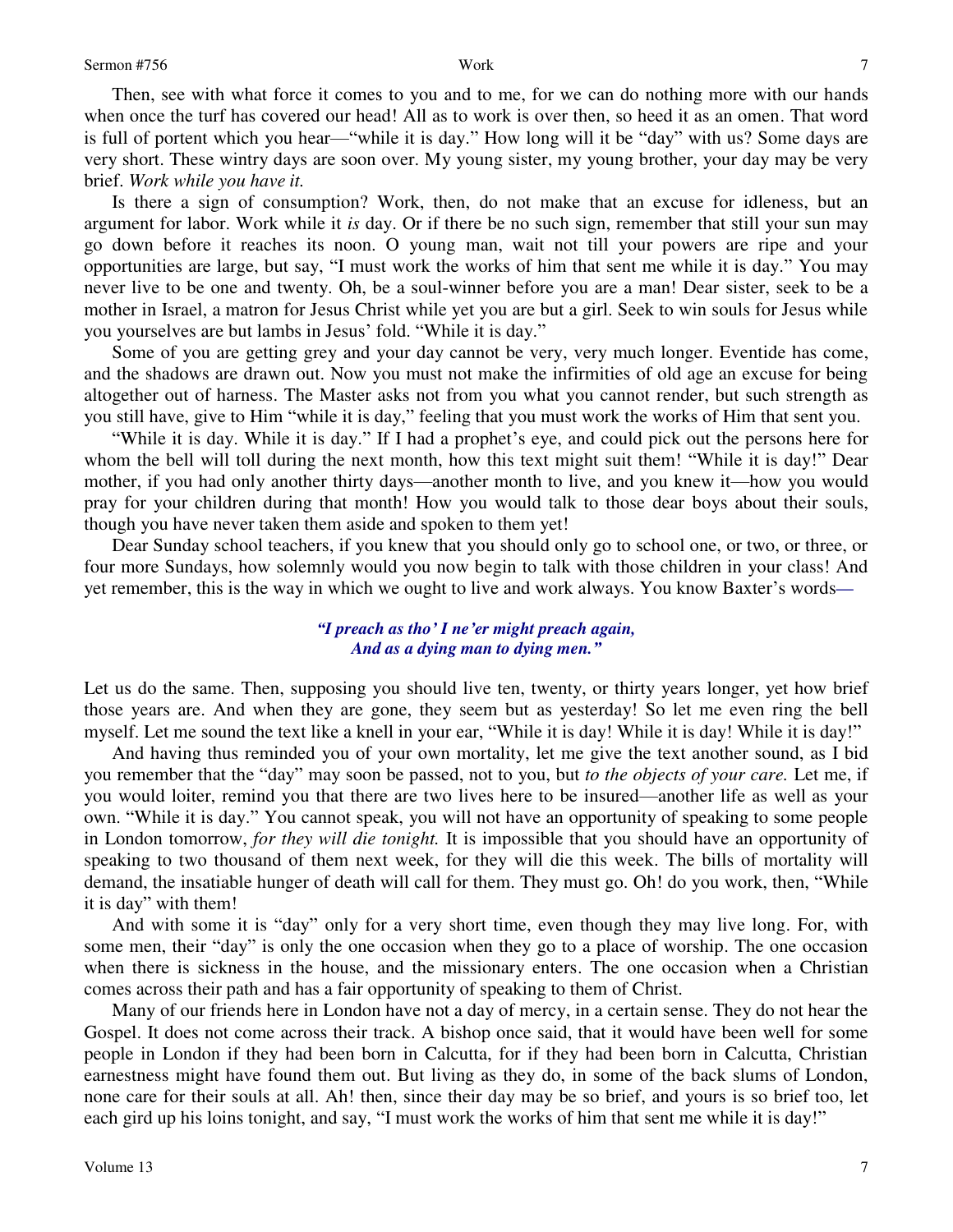Then, see with what force it comes to you and to me, for we can do nothing more with our hands when once the turf has covered our head! All as to work is over then, so heed it as an omen. That word is full of portent which you hear—"while it is day." How long will it be "day" with us? Some days are very short. These wintry days are soon over. My young sister, my young brother, your day may be very brief. *Work while you have it.*

 Is there a sign of consumption? Work, then, do not make that an excuse for idleness, but an argument for labor. Work while it *is* day. Or if there be no such sign, remember that still your sun may go down before it reaches its noon. O young man, wait not till your powers are ripe and your opportunities are large, but say, "I must work the works of him that sent me while it is day." You may never live to be one and twenty. Oh, be a soul-winner before you are a man! Dear sister, seek to be a mother in Israel, a matron for Jesus Christ while yet you are but a girl. Seek to win souls for Jesus while you yourselves are but lambs in Jesus' fold. "While it is day."

 Some of you are getting grey and your day cannot be very, very much longer. Eventide has come, and the shadows are drawn out. Now you must not make the infirmities of old age an excuse for being altogether out of harness. The Master asks not from you what you cannot render, but such strength as you still have, give to Him "while it is day," feeling that you must work the works of Him that sent you.

"While it is day. While it is day." If I had a prophet's eye, and could pick out the persons here for whom the bell will toll during the next month, how this text might suit them! "While it is day!" Dear mother, if you had only another thirty days—another month to live, and you knew it—how you would pray for your children during that month! How you would talk to those dear boys about their souls, though you have never taken them aside and spoken to them yet!

 Dear Sunday school teachers, if you knew that you should only go to school one, or two, or three, or four more Sundays, how solemnly would you now begin to talk with those children in your class! And yet remember, this is the way in which we ought to live and work always. You know Baxter's words*—*

## *"I preach as tho' I ne'er might preach again, And as a dying man to dying men."*

Let us do the same. Then, supposing you should live ten, twenty, or thirty years longer, yet how brief those years are. And when they are gone, they seem but as yesterday! So let me even ring the bell myself. Let me sound the text like a knell in your ear, "While it is day! While it is day! While it is day!"

 And having thus reminded you of your own mortality, let me give the text another sound, as I bid you remember that the "day" may soon be passed, not to you, but *to the objects of your care.* Let me, if you would loiter, remind you that there are two lives here to be insured—another life as well as your own. "While it is day." You cannot speak, you will not have an opportunity of speaking to some people in London tomorrow, *for they will die tonight.* It is impossible that you should have an opportunity of speaking to two thousand of them next week, for they will die this week. The bills of mortality will demand, the insatiable hunger of death will call for them. They must go. Oh! do you work, then, "While it is day" with them!

 And with some it is "day" only for a very short time, even though they may live long. For, with some men, their "day" is only the one occasion when they go to a place of worship. The one occasion when there is sickness in the house, and the missionary enters. The one occasion when a Christian comes across their path and has a fair opportunity of speaking to them of Christ.

 Many of our friends here in London have not a day of mercy, in a certain sense. They do not hear the Gospel. It does not come across their track. A bishop once said, that it would have been well for some people in London if they had been born in Calcutta, for if they had been born in Calcutta, Christian earnestness might have found them out. But living as they do, in some of the back slums of London, none care for their souls at all. Ah! then, since their day may be so brief, and yours is so brief too, let each gird up his loins tonight, and say, "I must work the works of him that sent me while it is day!"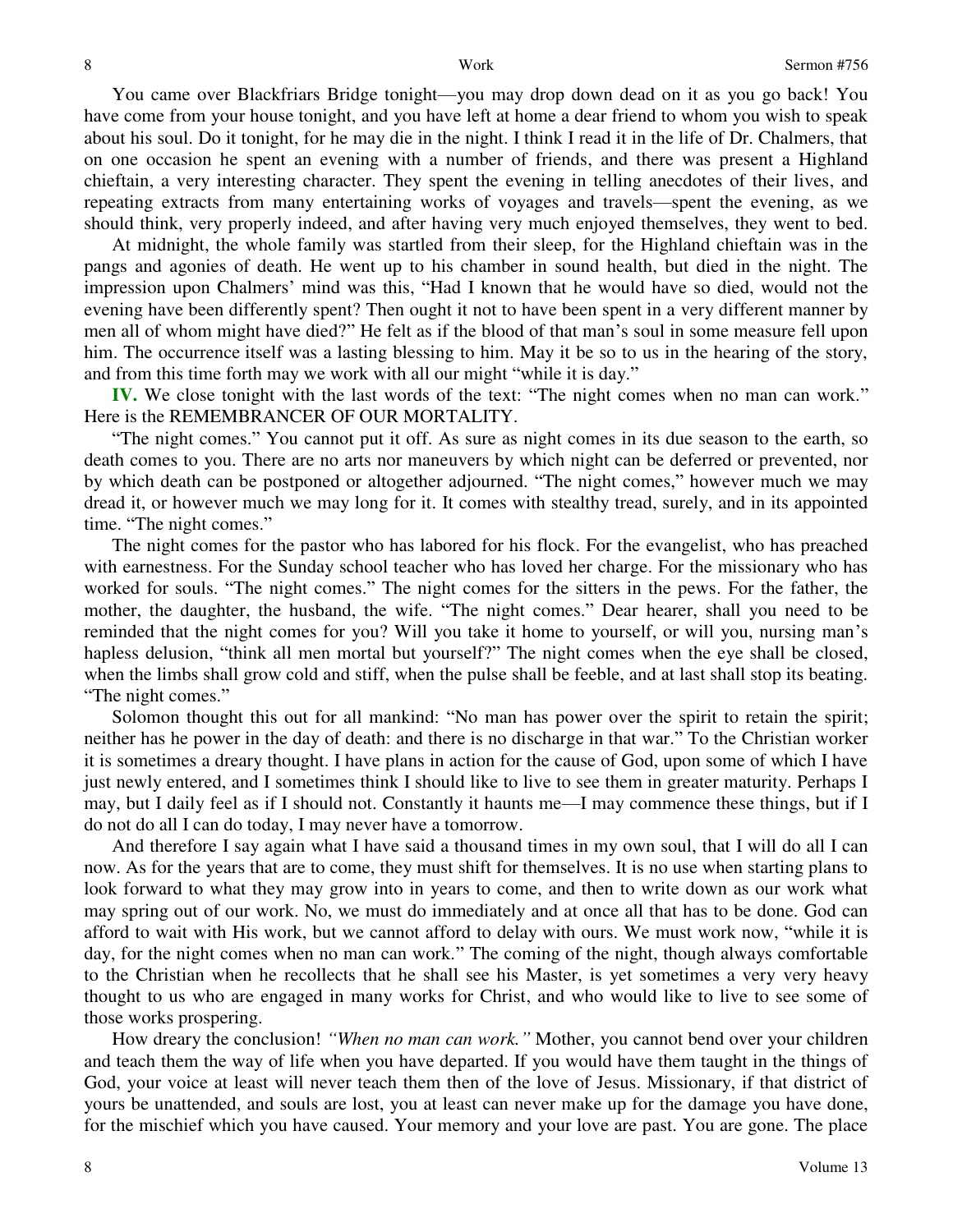You came over Blackfriars Bridge tonight—you may drop down dead on it as you go back! You have come from your house tonight, and you have left at home a dear friend to whom you wish to speak about his soul. Do it tonight, for he may die in the night. I think I read it in the life of Dr. Chalmers, that on one occasion he spent an evening with a number of friends, and there was present a Highland chieftain, a very interesting character. They spent the evening in telling anecdotes of their lives, and repeating extracts from many entertaining works of voyages and travels—spent the evening, as we should think, very properly indeed, and after having very much enjoyed themselves, they went to bed.

 At midnight, the whole family was startled from their sleep, for the Highland chieftain was in the pangs and agonies of death. He went up to his chamber in sound health, but died in the night. The impression upon Chalmers' mind was this, "Had I known that he would have so died, would not the evening have been differently spent? Then ought it not to have been spent in a very different manner by men all of whom might have died?" He felt as if the blood of that man's soul in some measure fell upon him. The occurrence itself was a lasting blessing to him. May it be so to us in the hearing of the story, and from this time forth may we work with all our might "while it is day."

**IV.** We close tonight with the last words of the text: "The night comes when no man can work." Here is the REMEMBRANCER OF OUR MORTALITY.

"The night comes." You cannot put it off. As sure as night comes in its due season to the earth, so death comes to you. There are no arts nor maneuvers by which night can be deferred or prevented, nor by which death can be postponed or altogether adjourned. "The night comes," however much we may dread it, or however much we may long for it. It comes with stealthy tread, surely, and in its appointed time. "The night comes."

 The night comes for the pastor who has labored for his flock. For the evangelist, who has preached with earnestness. For the Sunday school teacher who has loved her charge. For the missionary who has worked for souls. "The night comes." The night comes for the sitters in the pews. For the father, the mother, the daughter, the husband, the wife. "The night comes." Dear hearer, shall you need to be reminded that the night comes for you? Will you take it home to yourself, or will you, nursing man's hapless delusion, "think all men mortal but yourself?" The night comes when the eye shall be closed, when the limbs shall grow cold and stiff, when the pulse shall be feeble, and at last shall stop its beating. "The night comes."

Solomon thought this out for all mankind: "No man has power over the spirit to retain the spirit; neither has he power in the day of death: and there is no discharge in that war." To the Christian worker it is sometimes a dreary thought. I have plans in action for the cause of God, upon some of which I have just newly entered, and I sometimes think I should like to live to see them in greater maturity. Perhaps I may, but I daily feel as if I should not. Constantly it haunts me—I may commence these things, but if I do not do all I can do today, I may never have a tomorrow.

 And therefore I say again what I have said a thousand times in my own soul, that I will do all I can now. As for the years that are to come, they must shift for themselves. It is no use when starting plans to look forward to what they may grow into in years to come, and then to write down as our work what may spring out of our work. No, we must do immediately and at once all that has to be done. God can afford to wait with His work, but we cannot afford to delay with ours. We must work now, "while it is day, for the night comes when no man can work." The coming of the night, though always comfortable to the Christian when he recollects that he shall see his Master, is yet sometimes a very very heavy thought to us who are engaged in many works for Christ, and who would like to live to see some of those works prospering.

 How dreary the conclusion! *"When no man can work."* Mother, you cannot bend over your children and teach them the way of life when you have departed. If you would have them taught in the things of God, your voice at least will never teach them then of the love of Jesus. Missionary, if that district of yours be unattended, and souls are lost, you at least can never make up for the damage you have done, for the mischief which you have caused. Your memory and your love are past. You are gone. The place

Volume 13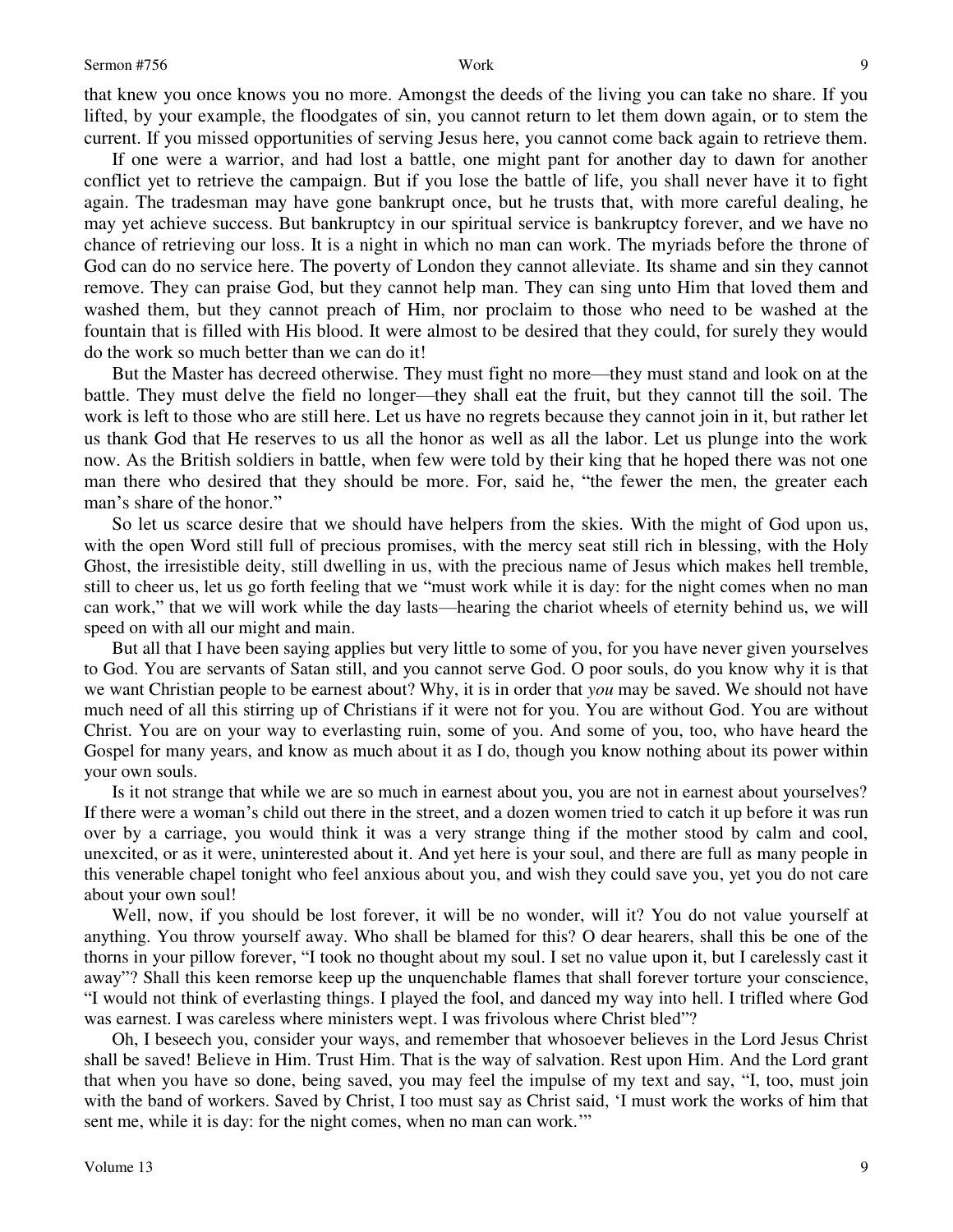that knew you once knows you no more. Amongst the deeds of the living you can take no share. If you lifted, by your example, the floodgates of sin, you cannot return to let them down again, or to stem the current. If you missed opportunities of serving Jesus here, you cannot come back again to retrieve them.

 If one were a warrior, and had lost a battle, one might pant for another day to dawn for another conflict yet to retrieve the campaign. But if you lose the battle of life, you shall never have it to fight again. The tradesman may have gone bankrupt once, but he trusts that, with more careful dealing, he may yet achieve success. But bankruptcy in our spiritual service is bankruptcy forever, and we have no chance of retrieving our loss. It is a night in which no man can work. The myriads before the throne of God can do no service here. The poverty of London they cannot alleviate. Its shame and sin they cannot remove. They can praise God, but they cannot help man. They can sing unto Him that loved them and washed them, but they cannot preach of Him, nor proclaim to those who need to be washed at the fountain that is filled with His blood. It were almost to be desired that they could, for surely they would do the work so much better than we can do it!

 But the Master has decreed otherwise. They must fight no more—they must stand and look on at the battle. They must delve the field no longer—they shall eat the fruit, but they cannot till the soil. The work is left to those who are still here. Let us have no regrets because they cannot join in it, but rather let us thank God that He reserves to us all the honor as well as all the labor. Let us plunge into the work now. As the British soldiers in battle, when few were told by their king that he hoped there was not one man there who desired that they should be more. For, said he, "the fewer the men, the greater each man's share of the honor."

 So let us scarce desire that we should have helpers from the skies. With the might of God upon us, with the open Word still full of precious promises, with the mercy seat still rich in blessing, with the Holy Ghost, the irresistible deity, still dwelling in us, with the precious name of Jesus which makes hell tremble, still to cheer us, let us go forth feeling that we "must work while it is day: for the night comes when no man can work," that we will work while the day lasts—hearing the chariot wheels of eternity behind us, we will speed on with all our might and main.

 But all that I have been saying applies but very little to some of you, for you have never given yourselves to God. You are servants of Satan still, and you cannot serve God. O poor souls, do you know why it is that we want Christian people to be earnest about? Why, it is in order that *you* may be saved. We should not have much need of all this stirring up of Christians if it were not for you. You are without God. You are without Christ. You are on your way to everlasting ruin, some of you. And some of you, too, who have heard the Gospel for many years, and know as much about it as I do, though you know nothing about its power within your own souls.

 Is it not strange that while we are so much in earnest about you, you are not in earnest about yourselves? If there were a woman's child out there in the street, and a dozen women tried to catch it up before it was run over by a carriage, you would think it was a very strange thing if the mother stood by calm and cool, unexcited, or as it were, uninterested about it. And yet here is your soul, and there are full as many people in this venerable chapel tonight who feel anxious about you, and wish they could save you, yet you do not care about your own soul!

 Well, now, if you should be lost forever, it will be no wonder, will it? You do not value yourself at anything. You throw yourself away. Who shall be blamed for this? O dear hearers, shall this be one of the thorns in your pillow forever, "I took no thought about my soul. I set no value upon it, but I carelessly cast it away"? Shall this keen remorse keep up the unquenchable flames that shall forever torture your conscience, "I would not think of everlasting things. I played the fool, and danced my way into hell. I trifled where God was earnest. I was careless where ministers wept. I was frivolous where Christ bled"?

 Oh, I beseech you, consider your ways, and remember that whosoever believes in the Lord Jesus Christ shall be saved! Believe in Him. Trust Him. That is the way of salvation. Rest upon Him. And the Lord grant that when you have so done, being saved, you may feel the impulse of my text and say, "I, too, must join with the band of workers. Saved by Christ, I too must say as Christ said, 'I must work the works of him that sent me, while it is day: for the night comes, when no man can work.'"

Volume 13